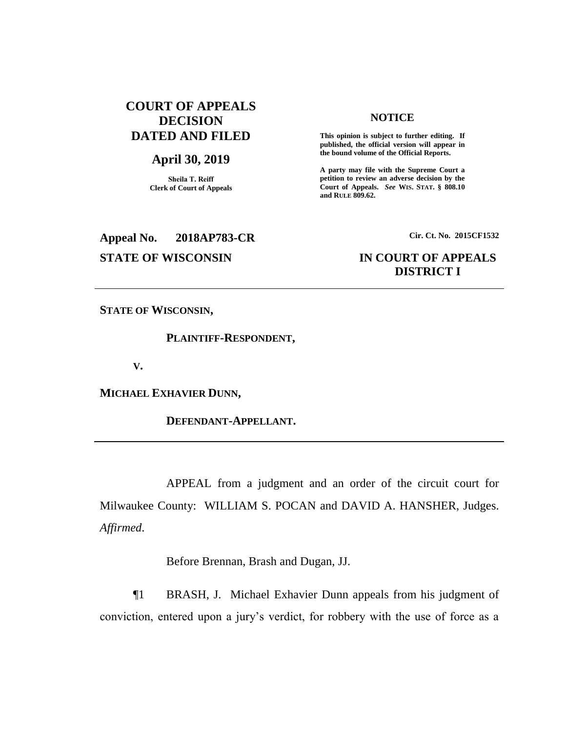# **COURT OF APPEALS DECISION DATED AND FILED**

# **April 30, 2019**

**Sheila T. Reiff Clerk of Court of Appeals**

# **Appeal No. 2018AP783-CR Cir. Ct. No. 2015CF1532**

## **NOTICE**

**This opinion is subject to further editing. If published, the official version will appear in the bound volume of the Official Reports.** 

**A party may file with the Supreme Court a petition to review an adverse decision by the Court of Appeals.** *See* **WIS. STAT. § 808.10 and RULE 809.62.** 

# **STATE OF WISCONSIN IN COURT OF APPEALS DISTRICT I**

**STATE OF WISCONSIN,**

**PLAINTIFF-RESPONDENT,**

**V.**

**MICHAEL EXHAVIER DUNN,**

**DEFENDANT-APPELLANT.**

APPEAL from a judgment and an order of the circuit court for Milwaukee County: WILLIAM S. POCAN and DAVID A. HANSHER, Judges. *Affirmed*.

Before Brennan, Brash and Dugan, JJ.

¶1 BRASH, J. Michael Exhavier Dunn appeals from his judgment of conviction, entered upon a jury's verdict, for robbery with the use of force as a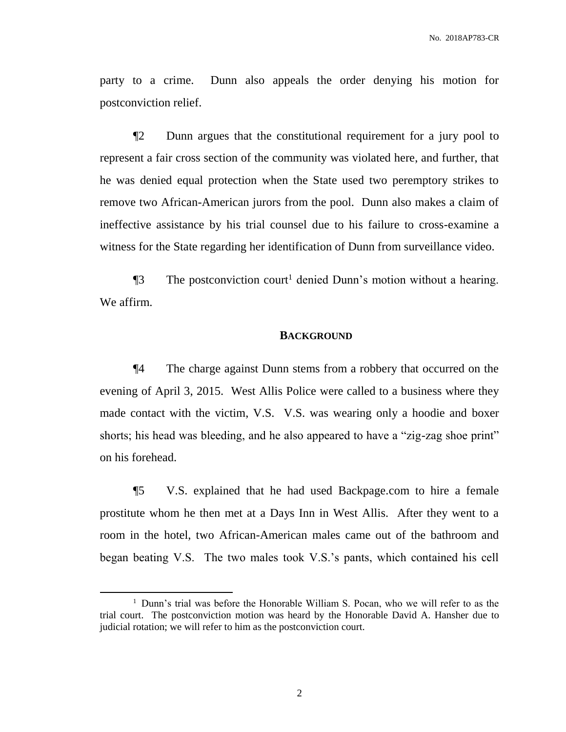party to a crime. Dunn also appeals the order denying his motion for postconviction relief.

¶2 Dunn argues that the constitutional requirement for a jury pool to represent a fair cross section of the community was violated here, and further, that he was denied equal protection when the State used two peremptory strikes to remove two African-American jurors from the pool. Dunn also makes a claim of ineffective assistance by his trial counsel due to his failure to cross-examine a witness for the State regarding her identification of Dunn from surveillance video.

 $\P$ 3 The postconviction court<sup>1</sup> denied Dunn's motion without a hearing. We affirm.

## **BACKGROUND**

¶4 The charge against Dunn stems from a robbery that occurred on the evening of April 3, 2015. West Allis Police were called to a business where they made contact with the victim, V.S. V.S. was wearing only a hoodie and boxer shorts; his head was bleeding, and he also appeared to have a "zig-zag shoe print" on his forehead.

¶5 V.S. explained that he had used Backpage.com to hire a female prostitute whom he then met at a Days Inn in West Allis. After they went to a room in the hotel, two African-American males came out of the bathroom and began beating V.S. The two males took V.S.'s pants, which contained his cell

 $\overline{a}$ 

<sup>&</sup>lt;sup>1</sup> Dunn's trial was before the Honorable William S. Pocan, who we will refer to as the trial court. The postconviction motion was heard by the Honorable David A. Hansher due to judicial rotation; we will refer to him as the postconviction court.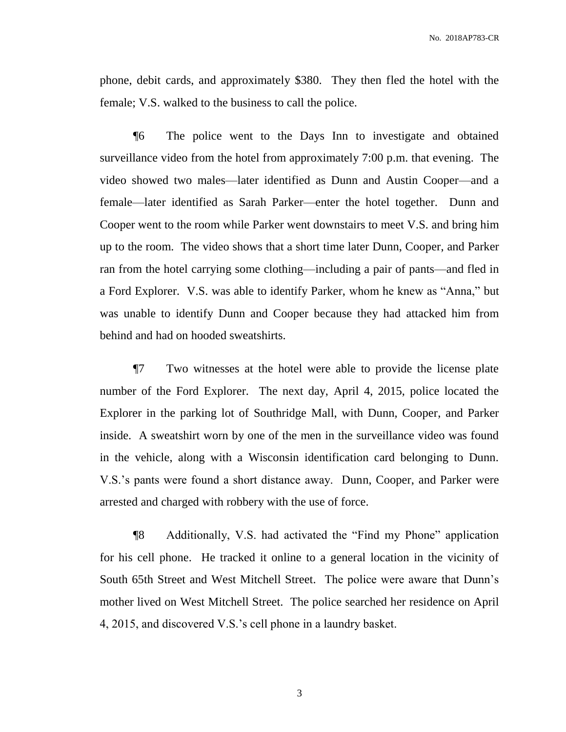phone, debit cards, and approximately \$380. They then fled the hotel with the female; V.S. walked to the business to call the police.

¶6 The police went to the Days Inn to investigate and obtained surveillance video from the hotel from approximately 7:00 p.m. that evening. The video showed two males—later identified as Dunn and Austin Cooper—and a female—later identified as Sarah Parker—enter the hotel together. Dunn and Cooper went to the room while Parker went downstairs to meet V.S. and bring him up to the room. The video shows that a short time later Dunn, Cooper, and Parker ran from the hotel carrying some clothing—including a pair of pants—and fled in a Ford Explorer. V.S. was able to identify Parker, whom he knew as "Anna," but was unable to identify Dunn and Cooper because they had attacked him from behind and had on hooded sweatshirts.

¶7 Two witnesses at the hotel were able to provide the license plate number of the Ford Explorer. The next day, April 4, 2015, police located the Explorer in the parking lot of Southridge Mall, with Dunn, Cooper, and Parker inside. A sweatshirt worn by one of the men in the surveillance video was found in the vehicle, along with a Wisconsin identification card belonging to Dunn. V.S.'s pants were found a short distance away. Dunn, Cooper, and Parker were arrested and charged with robbery with the use of force.

¶8 Additionally, V.S. had activated the "Find my Phone" application for his cell phone. He tracked it online to a general location in the vicinity of South 65th Street and West Mitchell Street. The police were aware that Dunn's mother lived on West Mitchell Street. The police searched her residence on April 4, 2015, and discovered V.S.'s cell phone in a laundry basket.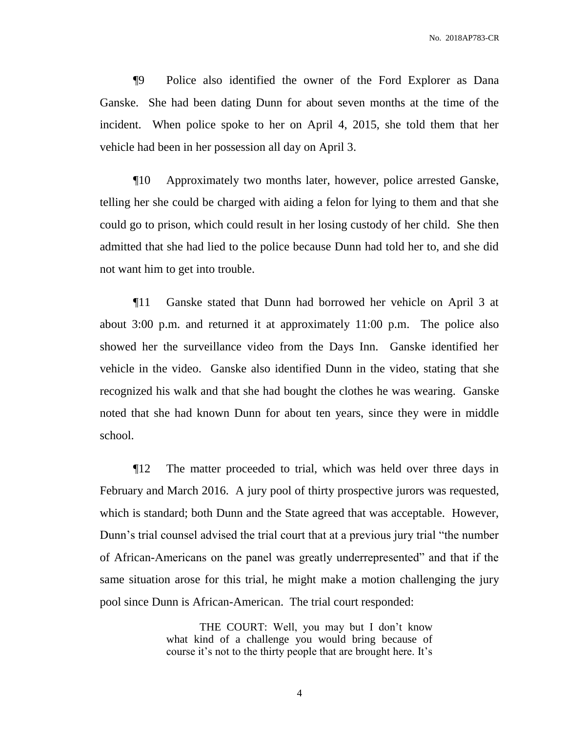¶9 Police also identified the owner of the Ford Explorer as Dana Ganske. She had been dating Dunn for about seven months at the time of the incident. When police spoke to her on April 4, 2015, she told them that her vehicle had been in her possession all day on April 3.

¶10 Approximately two months later, however, police arrested Ganske, telling her she could be charged with aiding a felon for lying to them and that she could go to prison, which could result in her losing custody of her child. She then admitted that she had lied to the police because Dunn had told her to, and she did not want him to get into trouble.

¶11 Ganske stated that Dunn had borrowed her vehicle on April 3 at about 3:00 p.m. and returned it at approximately 11:00 p.m. The police also showed her the surveillance video from the Days Inn. Ganske identified her vehicle in the video. Ganske also identified Dunn in the video, stating that she recognized his walk and that she had bought the clothes he was wearing. Ganske noted that she had known Dunn for about ten years, since they were in middle school.

¶12 The matter proceeded to trial, which was held over three days in February and March 2016. A jury pool of thirty prospective jurors was requested, which is standard; both Dunn and the State agreed that was acceptable. However, Dunn's trial counsel advised the trial court that at a previous jury trial "the number of African-Americans on the panel was greatly underrepresented" and that if the same situation arose for this trial, he might make a motion challenging the jury pool since Dunn is African-American. The trial court responded:

> THE COURT: Well, you may but I don't know what kind of a challenge you would bring because of course it's not to the thirty people that are brought here. It's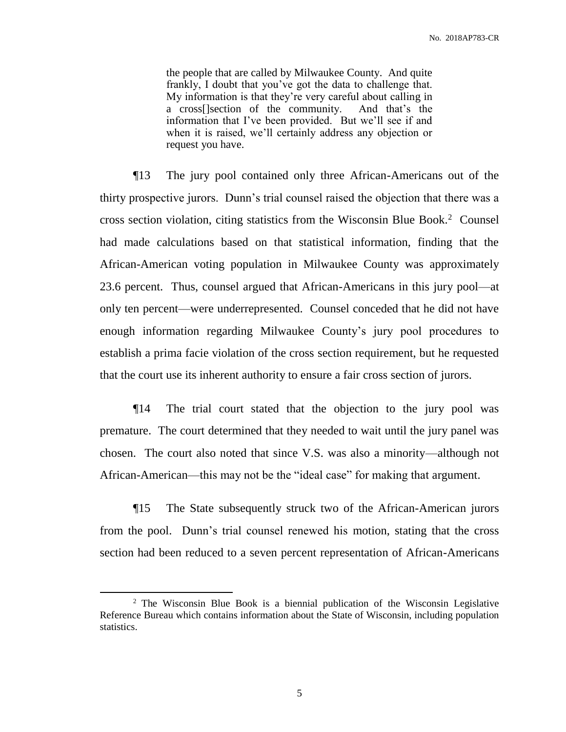the people that are called by Milwaukee County. And quite frankly, I doubt that you've got the data to challenge that. My information is that they're very careful about calling in a cross[]section of the community. And that's the information that I've been provided. But we'll see if and when it is raised, we'll certainly address any objection or request you have.

¶13 The jury pool contained only three African-Americans out of the thirty prospective jurors. Dunn's trial counsel raised the objection that there was a cross section violation, citing statistics from the Wisconsin Blue Book.<sup>2</sup> Counsel had made calculations based on that statistical information, finding that the African-American voting population in Milwaukee County was approximately 23.6 percent. Thus, counsel argued that African-Americans in this jury pool—at only ten percent—were underrepresented. Counsel conceded that he did not have enough information regarding Milwaukee County's jury pool procedures to establish a prima facie violation of the cross section requirement, but he requested that the court use its inherent authority to ensure a fair cross section of jurors.

¶14 The trial court stated that the objection to the jury pool was premature. The court determined that they needed to wait until the jury panel was chosen. The court also noted that since V.S. was also a minority—although not African-American—this may not be the "ideal case" for making that argument.

¶15 The State subsequently struck two of the African-American jurors from the pool. Dunn's trial counsel renewed his motion, stating that the cross section had been reduced to a seven percent representation of African-Americans

<sup>&</sup>lt;sup>2</sup> The Wisconsin Blue Book is a biennial publication of the Wisconsin Legislative Reference Bureau which contains information about the State of Wisconsin, including population statistics.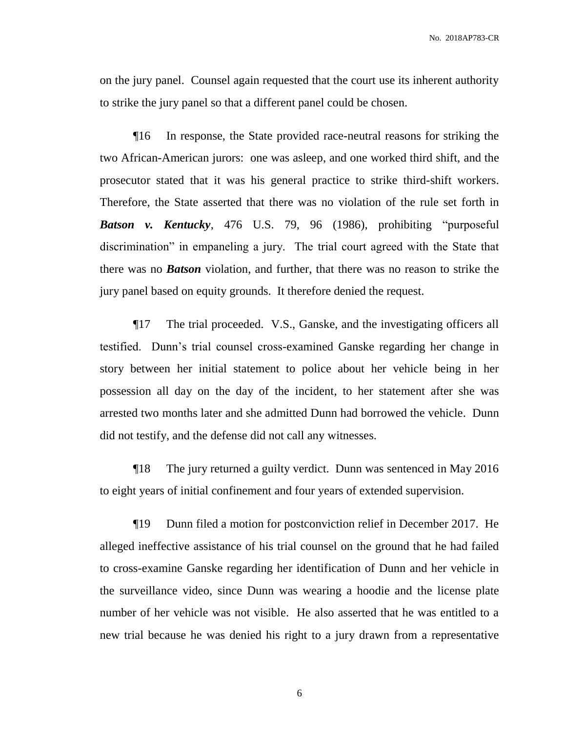on the jury panel. Counsel again requested that the court use its inherent authority to strike the jury panel so that a different panel could be chosen.

¶16 In response, the State provided race-neutral reasons for striking the two African-American jurors: one was asleep, and one worked third shift, and the prosecutor stated that it was his general practice to strike third-shift workers. Therefore, the State asserted that there was no violation of the rule set forth in *Batson v. Kentucky*, 476 U.S. 79, 96 (1986), prohibiting "purposeful discrimination" in empaneling a jury. The trial court agreed with the State that there was no *Batson* violation, and further, that there was no reason to strike the jury panel based on equity grounds. It therefore denied the request.

¶17 The trial proceeded. V.S., Ganske, and the investigating officers all testified. Dunn's trial counsel cross-examined Ganske regarding her change in story between her initial statement to police about her vehicle being in her possession all day on the day of the incident, to her statement after she was arrested two months later and she admitted Dunn had borrowed the vehicle. Dunn did not testify, and the defense did not call any witnesses.

¶18 The jury returned a guilty verdict. Dunn was sentenced in May 2016 to eight years of initial confinement and four years of extended supervision.

¶19 Dunn filed a motion for postconviction relief in December 2017. He alleged ineffective assistance of his trial counsel on the ground that he had failed to cross-examine Ganske regarding her identification of Dunn and her vehicle in the surveillance video, since Dunn was wearing a hoodie and the license plate number of her vehicle was not visible. He also asserted that he was entitled to a new trial because he was denied his right to a jury drawn from a representative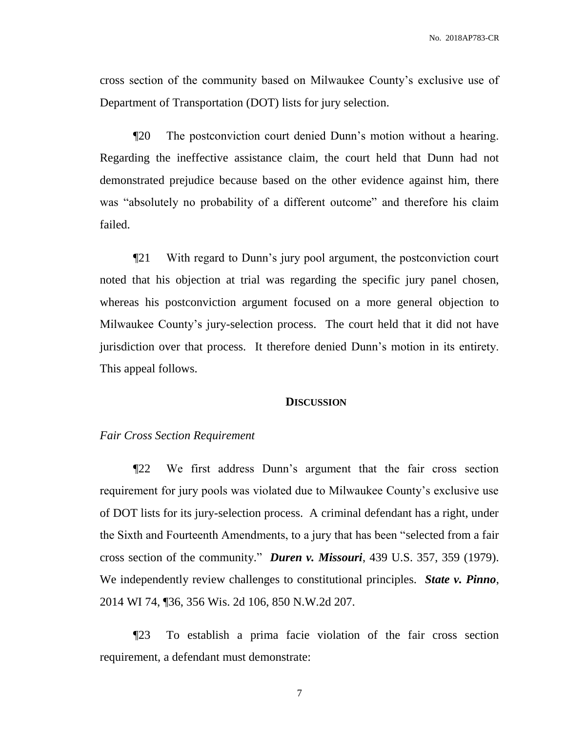cross section of the community based on Milwaukee County's exclusive use of Department of Transportation (DOT) lists for jury selection.

¶20 The postconviction court denied Dunn's motion without a hearing. Regarding the ineffective assistance claim, the court held that Dunn had not demonstrated prejudice because based on the other evidence against him, there was "absolutely no probability of a different outcome" and therefore his claim failed.

¶21 With regard to Dunn's jury pool argument, the postconviction court noted that his objection at trial was regarding the specific jury panel chosen, whereas his postconviction argument focused on a more general objection to Milwaukee County's jury-selection process. The court held that it did not have jurisdiction over that process. It therefore denied Dunn's motion in its entirety. This appeal follows.

#### **DISCUSSION**

#### *Fair Cross Section Requirement*

¶22 We first address Dunn's argument that the fair cross section requirement for jury pools was violated due to Milwaukee County's exclusive use of DOT lists for its jury-selection process. A criminal defendant has a right, under the Sixth and Fourteenth Amendments, to a jury that has been "selected from a fair cross section of the community." *Duren v. Missouri*, 439 U.S. 357, 359 (1979). We independently review challenges to constitutional principles. *State v. Pinno*, 2014 WI 74, ¶36, 356 Wis. 2d 106, 850 N.W.2d 207.

¶23 To establish a prima facie violation of the fair cross section requirement, a defendant must demonstrate: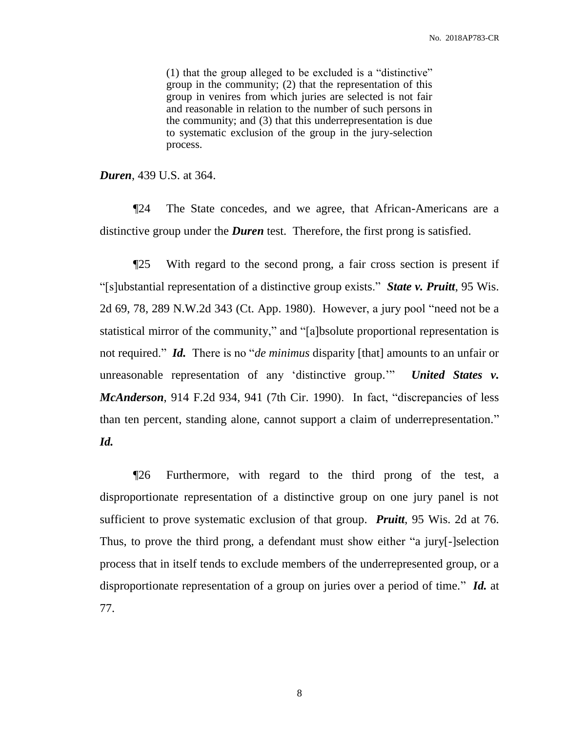(1) that the group alleged to be excluded is a "distinctive" group in the community; (2) that the representation of this group in venires from which juries are selected is not fair and reasonable in relation to the number of such persons in the community; and (3) that this underrepresentation is due to systematic exclusion of the group in the jury-selection process.

*Duren*, 439 U.S. at 364.

¶24 The State concedes, and we agree, that African-Americans are a distinctive group under the *Duren* test. Therefore, the first prong is satisfied.

¶25 With regard to the second prong, a fair cross section is present if "[s]ubstantial representation of a distinctive group exists." *State v. Pruitt*, 95 Wis. 2d 69, 78, 289 N.W.2d 343 (Ct. App. 1980). However, a jury pool "need not be a statistical mirror of the community," and "[a]bsolute proportional representation is not required." *Id.* There is no "*de minimus* disparity [that] amounts to an unfair or unreasonable representation of any 'distinctive group.'" *United States v. McAnderson*, 914 F.2d 934, 941 (7th Cir. 1990). In fact, "discrepancies of less than ten percent, standing alone, cannot support a claim of underrepresentation." *Id.*

¶26 Furthermore, with regard to the third prong of the test, a disproportionate representation of a distinctive group on one jury panel is not sufficient to prove systematic exclusion of that group. *Pruitt*, 95 Wis. 2d at 76. Thus, to prove the third prong, a defendant must show either "a jury[-]selection process that in itself tends to exclude members of the underrepresented group, or a disproportionate representation of a group on juries over a period of time." *Id.* at 77.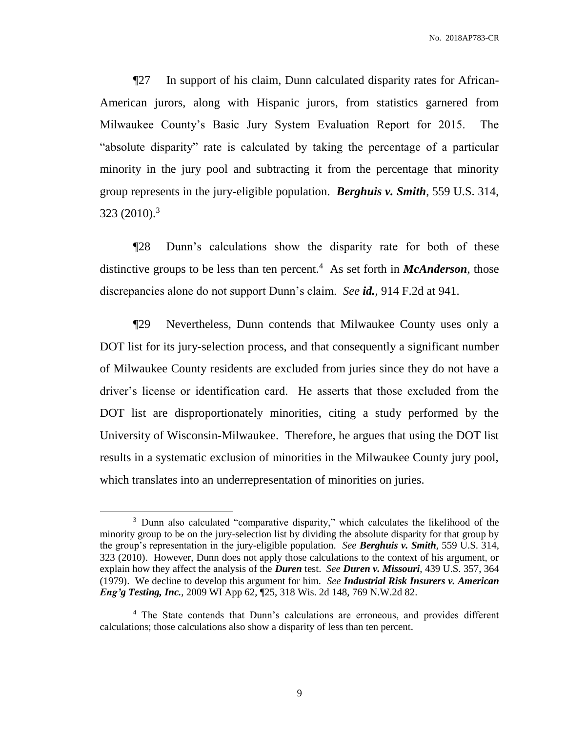¶27 In support of his claim, Dunn calculated disparity rates for African-American jurors, along with Hispanic jurors, from statistics garnered from Milwaukee County's Basic Jury System Evaluation Report for 2015. The "absolute disparity" rate is calculated by taking the percentage of a particular minority in the jury pool and subtracting it from the percentage that minority group represents in the jury-eligible population. *Berghuis v. Smith*, 559 U.S. 314, 323 (2010). 3

¶28 Dunn's calculations show the disparity rate for both of these distinctive groups to be less than ten percent.<sup>4</sup> As set forth in *McAnderson*, those discrepancies alone do not support Dunn's claim. *See id.*, 914 F.2d at 941.

¶29 Nevertheless, Dunn contends that Milwaukee County uses only a DOT list for its jury-selection process, and that consequently a significant number of Milwaukee County residents are excluded from juries since they do not have a driver's license or identification card. He asserts that those excluded from the DOT list are disproportionately minorities, citing a study performed by the University of Wisconsin-Milwaukee. Therefore, he argues that using the DOT list results in a systematic exclusion of minorities in the Milwaukee County jury pool, which translates into an underrepresentation of minorities on juries.

<sup>&</sup>lt;sup>3</sup> Dunn also calculated "comparative disparity," which calculates the likelihood of the minority group to be on the jury-selection list by dividing the absolute disparity for that group by the group's representation in the jury-eligible population. *See Berghuis v. Smith*, 559 U.S. 314, 323 (2010). However, Dunn does not apply those calculations to the context of his argument, or explain how they affect the analysis of the *Duren* test. *See Duren v. Missouri*, 439 U.S. 357, 364 (1979). We decline to develop this argument for him. *See Industrial Risk Insurers v. American Eng'g Testing, Inc.*, 2009 WI App 62, ¶25, 318 Wis. 2d 148, 769 N.W.2d 82.

<sup>&</sup>lt;sup>4</sup> The State contends that Dunn's calculations are erroneous, and provides different calculations; those calculations also show a disparity of less than ten percent.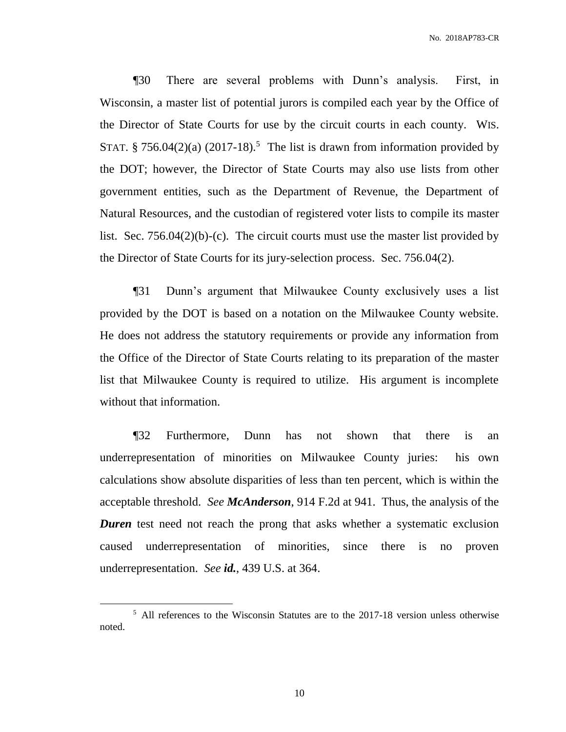¶30 There are several problems with Dunn's analysis. First, in Wisconsin, a master list of potential jurors is compiled each year by the Office of the Director of State Courts for use by the circuit courts in each county. WIS. STAT. § 756.04 $(2)(a)$   $(2017-18)$ .<sup>5</sup> The list is drawn from information provided by the DOT; however, the Director of State Courts may also use lists from other government entities, such as the Department of Revenue, the Department of Natural Resources, and the custodian of registered voter lists to compile its master list. Sec. 756.04(2)(b)-(c). The circuit courts must use the master list provided by the Director of State Courts for its jury-selection process. Sec. 756.04(2).

¶31 Dunn's argument that Milwaukee County exclusively uses a list provided by the DOT is based on a notation on the Milwaukee County website. He does not address the statutory requirements or provide any information from the Office of the Director of State Courts relating to its preparation of the master list that Milwaukee County is required to utilize. His argument is incomplete without that information.

¶32 Furthermore, Dunn has not shown that there is an underrepresentation of minorities on Milwaukee County juries: his own calculations show absolute disparities of less than ten percent, which is within the acceptable threshold. *See McAnderson*, 914 F.2d at 941. Thus, the analysis of the *Duren* test need not reach the prong that asks whether a systematic exclusion caused underrepresentation of minorities, since there is no proven underrepresentation. *See id.*, 439 U.S. at 364.

<sup>&</sup>lt;sup>5</sup> All references to the Wisconsin Statutes are to the 2017-18 version unless otherwise noted.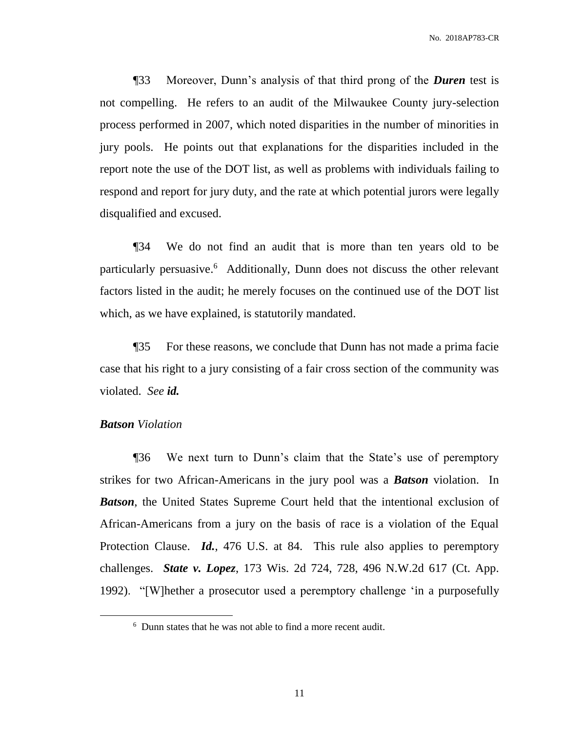¶33 Moreover, Dunn's analysis of that third prong of the *Duren* test is not compelling. He refers to an audit of the Milwaukee County jury-selection process performed in 2007, which noted disparities in the number of minorities in jury pools. He points out that explanations for the disparities included in the report note the use of the DOT list, as well as problems with individuals failing to respond and report for jury duty, and the rate at which potential jurors were legally disqualified and excused.

¶34 We do not find an audit that is more than ten years old to be particularly persuasive.<sup>6</sup> Additionally, Dunn does not discuss the other relevant factors listed in the audit; he merely focuses on the continued use of the DOT list which, as we have explained, is statutorily mandated.

¶35 For these reasons, we conclude that Dunn has not made a prima facie case that his right to a jury consisting of a fair cross section of the community was violated. *See id.*

# *Batson Violation*

 $\overline{a}$ 

¶36 We next turn to Dunn's claim that the State's use of peremptory strikes for two African-Americans in the jury pool was a *Batson* violation. In *Batson*, the United States Supreme Court held that the intentional exclusion of African-Americans from a jury on the basis of race is a violation of the Equal Protection Clause. *Id.*, 476 U.S. at 84. This rule also applies to peremptory challenges. *State v. Lopez*, 173 Wis. 2d 724, 728, 496 N.W.2d 617 (Ct. App. 1992). "[W]hether a prosecutor used a peremptory challenge 'in a purposefully

<sup>6</sup> Dunn states that he was not able to find a more recent audit.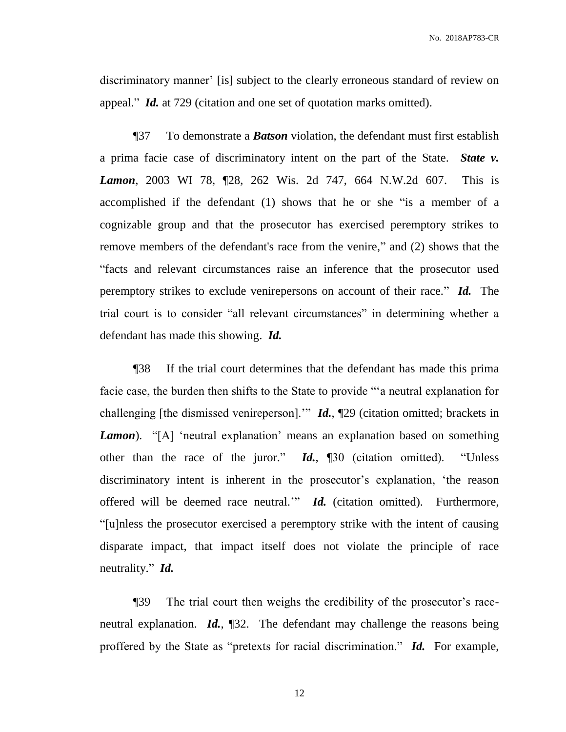discriminatory manner' [is] subject to the clearly erroneous standard of review on appeal." *Id.* at 729 (citation and one set of quotation marks omitted).

¶37 To demonstrate a *Batson* violation, the defendant must first establish a prima facie case of discriminatory intent on the part of the State. *State v. Lamon*, 2003 WI 78, ¶28, 262 Wis. 2d 747, 664 N.W.2d 607. This is accomplished if the defendant (1) shows that he or she "is a member of a cognizable group and that the prosecutor has exercised peremptory strikes to remove members of the defendant's race from the venire," and (2) shows that the "facts and relevant circumstances raise an inference that the prosecutor used peremptory strikes to exclude venirepersons on account of their race." *Id.* The trial court is to consider "all relevant circumstances" in determining whether a defendant has made this showing. *Id.*

¶38 If the trial court determines that the defendant has made this prima facie case, the burden then shifts to the State to provide "'a neutral explanation for challenging [the dismissed venireperson].'" *Id.*, ¶29 (citation omitted; brackets in *Lamon*). "[A] 'neutral explanation' means an explanation based on something other than the race of the juror." *Id.*, ¶30 (citation omitted). "Unless discriminatory intent is inherent in the prosecutor's explanation, 'the reason offered will be deemed race neutral.'" *Id.* (citation omitted). Furthermore, "[u]nless the prosecutor exercised a peremptory strike with the intent of causing disparate impact, that impact itself does not violate the principle of race neutrality." *Id.*

¶39 The trial court then weighs the credibility of the prosecutor's raceneutral explanation. *Id.*, ¶32. The defendant may challenge the reasons being proffered by the State as "pretexts for racial discrimination." *Id.* For example,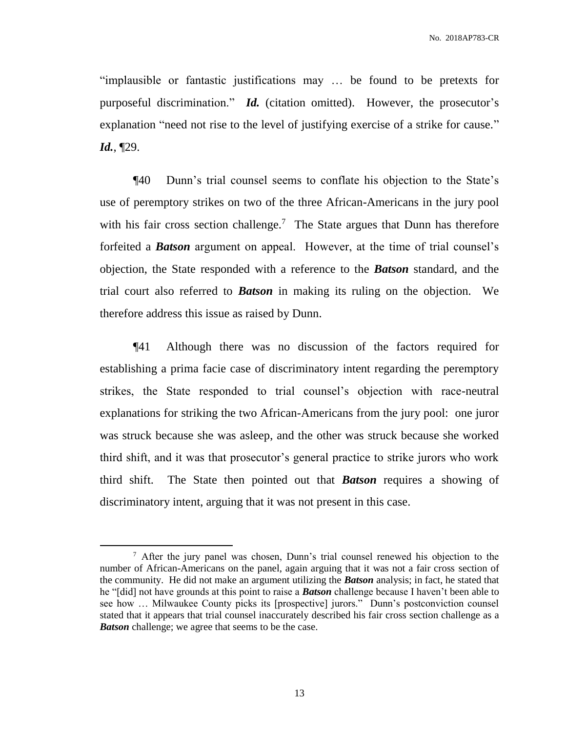"implausible or fantastic justifications may … be found to be pretexts for purposeful discrimination." *Id.* (citation omitted). However, the prosecutor's explanation "need not rise to the level of justifying exercise of a strike for cause." *Id.*, ¶29.

¶40 Dunn's trial counsel seems to conflate his objection to the State's use of peremptory strikes on two of the three African-Americans in the jury pool with his fair cross section challenge.<sup>7</sup> The State argues that Dunn has therefore forfeited a *Batson* argument on appeal. However, at the time of trial counsel's objection, the State responded with a reference to the *Batson* standard, and the trial court also referred to *Batson* in making its ruling on the objection. We therefore address this issue as raised by Dunn.

¶41 Although there was no discussion of the factors required for establishing a prima facie case of discriminatory intent regarding the peremptory strikes, the State responded to trial counsel's objection with race-neutral explanations for striking the two African-Americans from the jury pool: one juror was struck because she was asleep, and the other was struck because she worked third shift, and it was that prosecutor's general practice to strike jurors who work third shift. The State then pointed out that *Batson* requires a showing of discriminatory intent, arguing that it was not present in this case.

<sup>&</sup>lt;sup>7</sup> After the jury panel was chosen, Dunn's trial counsel renewed his objection to the number of African-Americans on the panel, again arguing that it was not a fair cross section of the community. He did not make an argument utilizing the *Batson* analysis; in fact, he stated that he "[did] not have grounds at this point to raise a *Batson* challenge because I haven't been able to see how … Milwaukee County picks its [prospective] jurors." Dunn's postconviction counsel stated that it appears that trial counsel inaccurately described his fair cross section challenge as a *Batson* challenge; we agree that seems to be the case.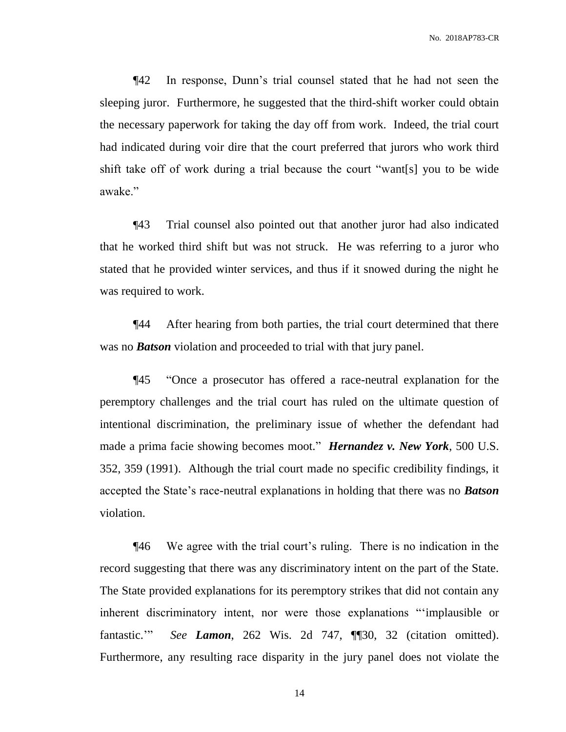¶42 In response, Dunn's trial counsel stated that he had not seen the sleeping juror. Furthermore, he suggested that the third-shift worker could obtain the necessary paperwork for taking the day off from work. Indeed, the trial court had indicated during voir dire that the court preferred that jurors who work third shift take off of work during a trial because the court "want[s] you to be wide awake."

¶43 Trial counsel also pointed out that another juror had also indicated that he worked third shift but was not struck. He was referring to a juror who stated that he provided winter services, and thus if it snowed during the night he was required to work.

¶44 After hearing from both parties, the trial court determined that there was no *Batson* violation and proceeded to trial with that jury panel.

¶45 "Once a prosecutor has offered a race-neutral explanation for the peremptory challenges and the trial court has ruled on the ultimate question of intentional discrimination, the preliminary issue of whether the defendant had made a prima facie showing becomes moot." *Hernandez v. New York*, 500 U.S. 352, 359 (1991). Although the trial court made no specific credibility findings, it accepted the State's race-neutral explanations in holding that there was no *Batson* violation.

¶46 We agree with the trial court's ruling. There is no indication in the record suggesting that there was any discriminatory intent on the part of the State. The State provided explanations for its peremptory strikes that did not contain any inherent discriminatory intent, nor were those explanations "'implausible or fantastic.'" *See Lamon*, 262 Wis. 2d 747, ¶¶30, 32 (citation omitted). Furthermore, any resulting race disparity in the jury panel does not violate the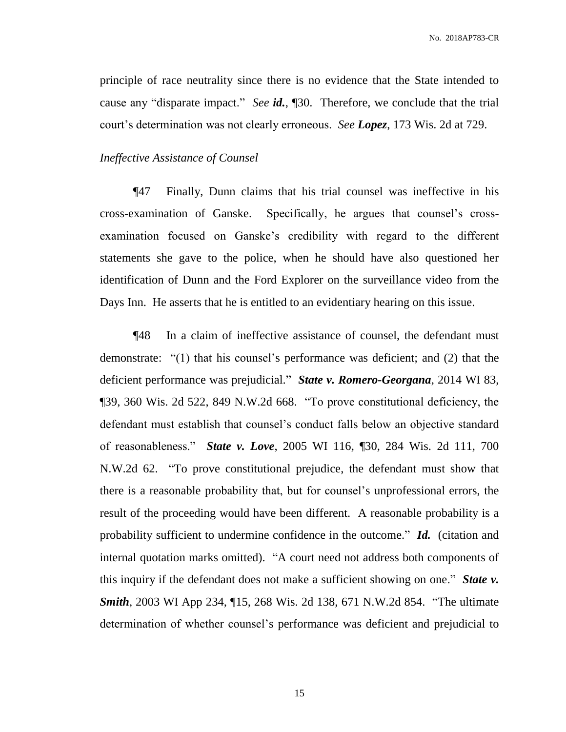principle of race neutrality since there is no evidence that the State intended to cause any "disparate impact." *See id.*, ¶30. Therefore, we conclude that the trial court's determination was not clearly erroneous. *See Lopez*, 173 Wis. 2d at 729.

## *Ineffective Assistance of Counsel*

¶47 Finally, Dunn claims that his trial counsel was ineffective in his cross-examination of Ganske. Specifically, he argues that counsel's crossexamination focused on Ganske's credibility with regard to the different statements she gave to the police, when he should have also questioned her identification of Dunn and the Ford Explorer on the surveillance video from the Days Inn. He asserts that he is entitled to an evidentiary hearing on this issue.

¶48 In a claim of ineffective assistance of counsel, the defendant must demonstrate: "(1) that his counsel's performance was deficient; and (2) that the deficient performance was prejudicial." *State v. Romero-Georgana*, 2014 WI 83, ¶39, 360 Wis. 2d 522, 849 N.W.2d 668. "To prove constitutional deficiency, the defendant must establish that counsel's conduct falls below an objective standard of reasonableness." *State v. Love*, 2005 WI 116, ¶30, 284 Wis. 2d 111, 700 N.W.2d 62. "To prove constitutional prejudice, the defendant must show that there is a reasonable probability that, but for counsel's unprofessional errors, the result of the proceeding would have been different. A reasonable probability is a probability sufficient to undermine confidence in the outcome." *Id.* (citation and internal quotation marks omitted). "A court need not address both components of this inquiry if the defendant does not make a sufficient showing on one." *State v. Smith*, 2003 WI App 234, ¶15, 268 Wis. 2d 138, 671 N.W.2d 854. "The ultimate determination of whether counsel's performance was deficient and prejudicial to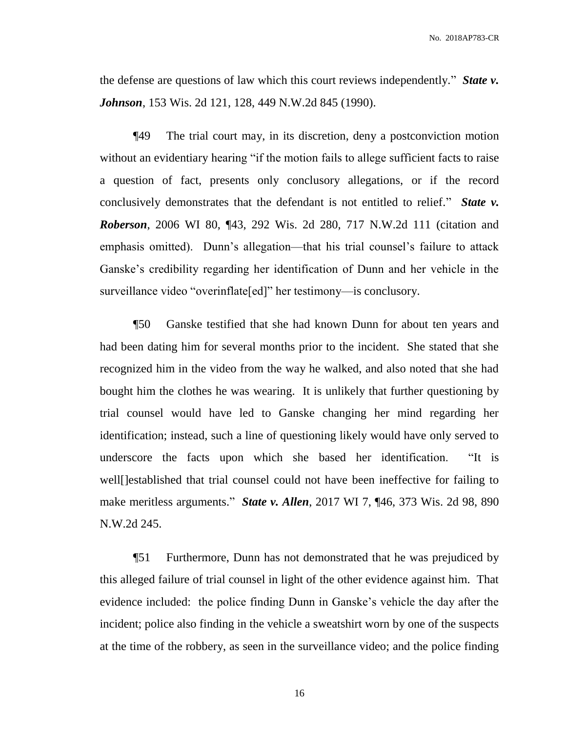the defense are questions of law which this court reviews independently." *State v. Johnson*, 153 Wis. 2d 121, 128, 449 N.W.2d 845 (1990).

¶49 The trial court may, in its discretion, deny a postconviction motion without an evidentiary hearing "if the motion fails to allege sufficient facts to raise a question of fact, presents only conclusory allegations, or if the record conclusively demonstrates that the defendant is not entitled to relief." *State v. Roberson*, 2006 WI 80, ¶43, 292 Wis. 2d 280, 717 N.W.2d 111 (citation and emphasis omitted). Dunn's allegation—that his trial counsel's failure to attack Ganske's credibility regarding her identification of Dunn and her vehicle in the surveillance video "overinflate[ed]" her testimony—is conclusory.

¶50 Ganske testified that she had known Dunn for about ten years and had been dating him for several months prior to the incident. She stated that she recognized him in the video from the way he walked, and also noted that she had bought him the clothes he was wearing. It is unlikely that further questioning by trial counsel would have led to Ganske changing her mind regarding her identification; instead, such a line of questioning likely would have only served to underscore the facts upon which she based her identification. "It is well[]established that trial counsel could not have been ineffective for failing to make meritless arguments." *State v. Allen*, 2017 WI 7, ¶46, 373 Wis. 2d 98, 890 N.W.2d 245.

¶51 Furthermore, Dunn has not demonstrated that he was prejudiced by this alleged failure of trial counsel in light of the other evidence against him. That evidence included: the police finding Dunn in Ganske's vehicle the day after the incident; police also finding in the vehicle a sweatshirt worn by one of the suspects at the time of the robbery, as seen in the surveillance video; and the police finding